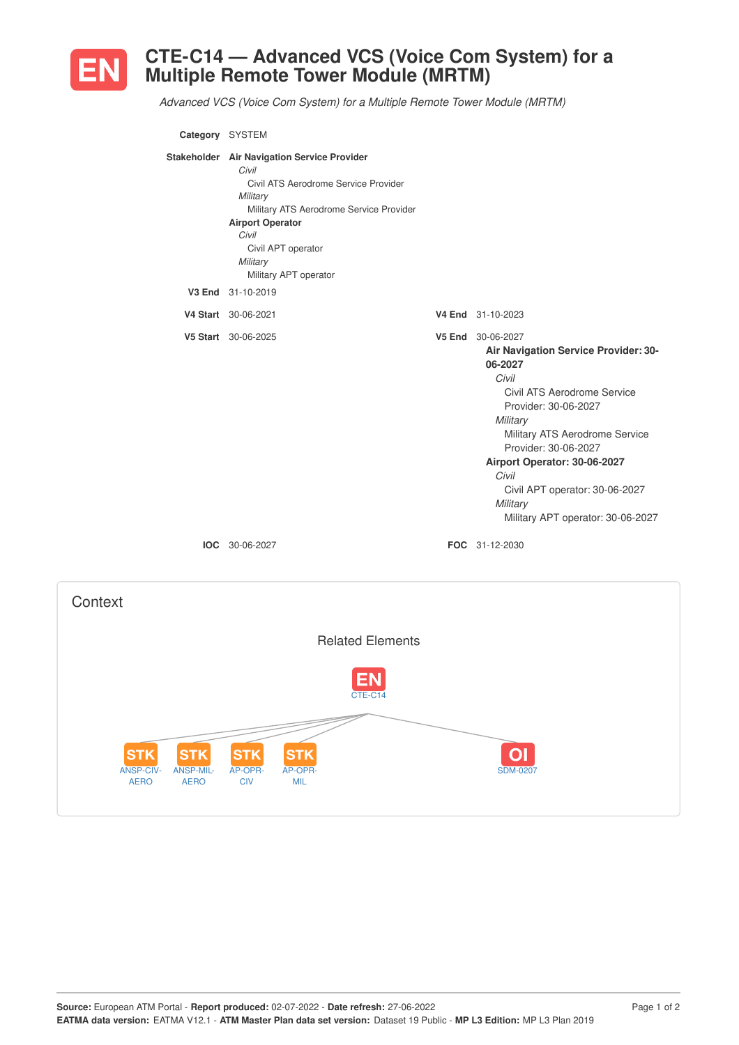

## **CTE-C14 — Advanced VCS (Voice Com System) for a Multiple Remote Tower Module (MRTM)**

*Advanced VCS (Voice Com System) for a Multiple Remote Tower Module (MRTM)*

| Category SYSTEM |                                                                                                                                                                                                                                                    |                                                                                                                                                                                                                                                                                                                                        |
|-----------------|----------------------------------------------------------------------------------------------------------------------------------------------------------------------------------------------------------------------------------------------------|----------------------------------------------------------------------------------------------------------------------------------------------------------------------------------------------------------------------------------------------------------------------------------------------------------------------------------------|
|                 | Stakeholder Air Navigation Service Provider<br>Civil<br>Civil ATS Aerodrome Service Provider<br>Military<br>Military ATS Aerodrome Service Provider<br><b>Airport Operator</b><br>Civil<br>Civil APT operator<br>Military<br>Military APT operator |                                                                                                                                                                                                                                                                                                                                        |
|                 | V3 End 31-10-2019                                                                                                                                                                                                                                  |                                                                                                                                                                                                                                                                                                                                        |
|                 | V4 Start 30-06-2021                                                                                                                                                                                                                                | V4 End 31-10-2023                                                                                                                                                                                                                                                                                                                      |
|                 | V5 Start 30-06-2025                                                                                                                                                                                                                                | V5 End 30-06-2027<br>Air Navigation Service Provider: 30-<br>06-2027<br>Civil<br>Civil ATS Aerodrome Service<br>Provider: 30-06-2027<br>Military<br>Military ATS Aerodrome Service<br>Provider: 30-06-2027<br>Airport Operator: 30-06-2027<br>Civil<br>Civil APT operator: 30-06-2027<br>Military<br>Military APT operator: 30-06-2027 |
|                 | <b>IOC</b> 30-06-2027                                                                                                                                                                                                                              | FOC 31-12-2030                                                                                                                                                                                                                                                                                                                         |